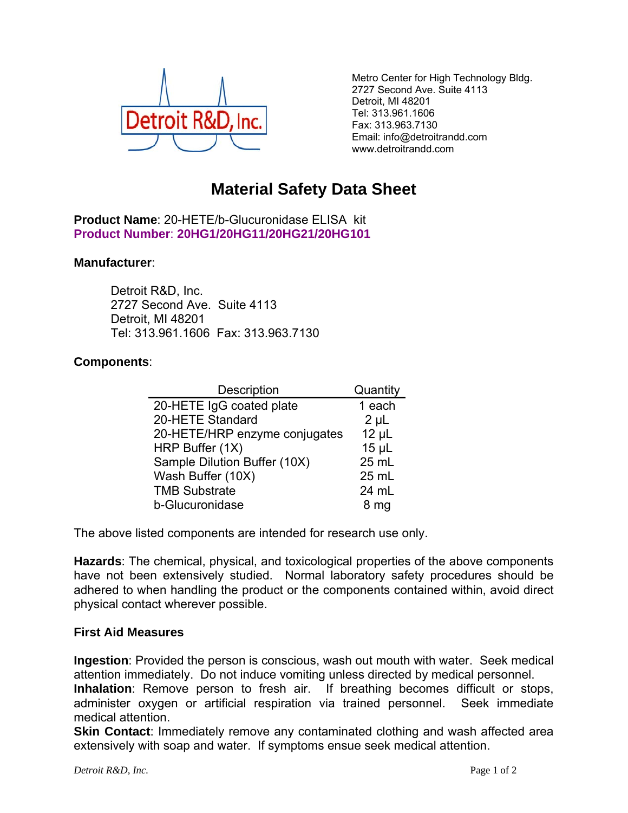

Metro Center for High Technology Bldg. 2727 Second Ave. Suite 4113 Detroit, MI 48201 Tel: 313.961.1606 Fax: 313.963.7130 Email: info@detroitrandd.com www.detroitrandd.com

## **Material Safety Data Sheet**

**Product Name**: 20-HETE/b-Glucuronidase ELISA kit **Product Number**: **20HG1/20HG11/20HG21/20HG101**

## **Manufacturer**:

 Detroit R&D, Inc. 2727 Second Ave. Suite 4113 Detroit, MI 48201 Tel: 313.961.1606 Fax: 313.963.7130

## **Components**:

| Description                   | Quantity   |
|-------------------------------|------------|
| 20-HETE IgG coated plate      | 1 each     |
| 20-HETE Standard              | $2 \mu L$  |
| 20-HETE/HRP enzyme conjugates | $12 \mu L$ |
| HRP Buffer (1X)               | $15$ µL    |
| Sample Dilution Buffer (10X)  | 25 mL      |
| Wash Buffer (10X)             | 25 mL      |
| <b>TMB Substrate</b>          | 24 mL      |
| b-Glucuronidase               | 8 mg       |

The above listed components are intended for research use only.

**Hazards**: The chemical, physical, and toxicological properties of the above components have not been extensively studied. Normal laboratory safety procedures should be adhered to when handling the product or the components contained within, avoid direct physical contact wherever possible.

## **First Aid Measures**

**Ingestion**: Provided the person is conscious, wash out mouth with water. Seek medical attention immediately. Do not induce vomiting unless directed by medical personnel. **Inhalation**: Remove person to fresh air. If breathing becomes difficult or stops, administer oxygen or artificial respiration via trained personnel. Seek immediate

medical attention. **Skin Contact:** Immediately remove any contaminated clothing and wash affected area

extensively with soap and water. If symptoms ensue seek medical attention.